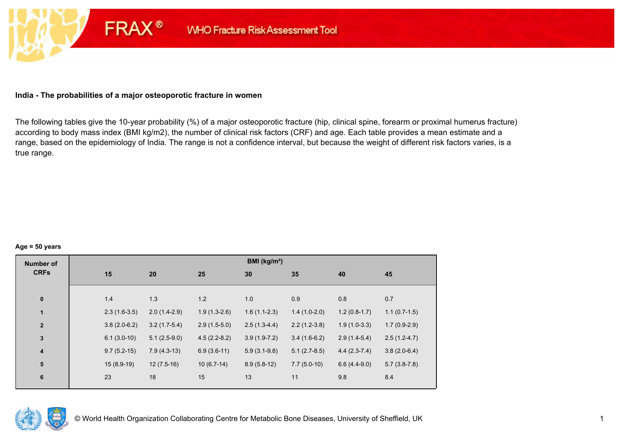## **India - The probabilities of a major osteoporotic fracture in women**

**FRAX®** 

The following tables give the 10-year probability (%) of a major osteoporotic fracture (hip, clinical spine, forearm or proximal humerus fracture) according to body mass index (BMI kg/m2), the number of clinical risk factors (CRF) and age. Each table provides a mean estimate and a range, based on the epidemiology of India. The range is not a confidence interval, but because the weight of different risk factors varies, is a true range.

#### **Age = 50 years**

| <b>Number of</b> |                |                |                | BMI (kg/m <sup>2</sup> ) |                |                |                |
|------------------|----------------|----------------|----------------|--------------------------|----------------|----------------|----------------|
| <b>CRFs</b>      | 15             | 20             | 25             | 30                       | 35             | 40             | 45             |
| $\mathbf 0$      | 1.4            | 1.3            | 1.2            | 1.0                      | 0.9            | 0.8            | 0.7            |
| $\mathbf{1}$     | $2.3(1.6-3.5)$ | $2.0(1.4-2.9)$ | $1.9(1.3-2.6)$ | $1.6(1.1-2.3)$           | $1.4(1.0-2.0)$ | $1.2(0.8-1.7)$ | $1.1(0.7-1.5)$ |
| $\boldsymbol{2}$ | $3.8(2.0-6.2)$ | $3.2(1.7-5.4)$ | $2.9(1.5-5.0)$ | $2.5(1.3-4.4)$           | $2.2(1.2-3.8)$ | $1.9(1.0-3.3)$ | $1.7(0.9-2.9)$ |
| $\mathbf{3}$     | $6.1(3.0-10)$  | $5.1(2.5-9.0)$ | $4.5(2.2-8.2)$ | $3.9(1.9-7.2)$           | $3.4(1.6-6.2)$ | $2.9(1.4-5.4)$ | $2.5(1.2-4.7)$ |
| $\boldsymbol{4}$ | $9.7(5.2-15)$  | $7.9(4.3-13)$  | $6.9(3.6-11)$  | $5.9(3.1-9.8)$           | $5.1(2.7-8.5)$ | $4.4(2.3-7.4)$ | $3.8(2.0-6.4)$ |
| 5                | $15(8.9-19)$   | $12(7.5-16)$   | $10(6.7-14)$   | $8.9(5.8-12)$            | $7.7(5.0-10)$  | $6.6(4.4-9.0)$ | $5.7(3.8-7.8)$ |
| 6                | 23             | 18             | 15             | 13                       | 11             | 9.8            | 8.4            |

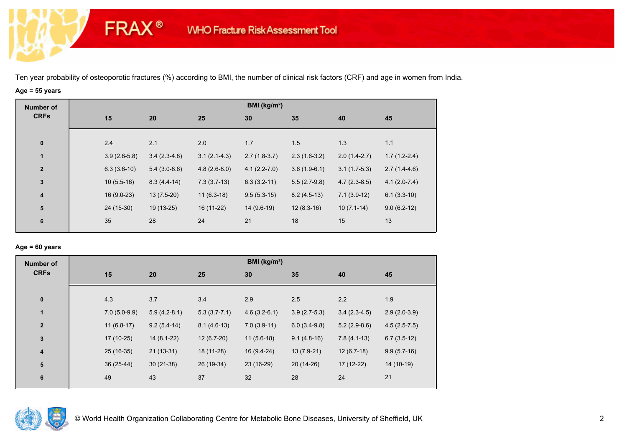# **Age = 55 years**

**FRAX®** 

| <b>Number of</b> |                |                |                | BMI ( $kg/m2$ )  |                |                |                |
|------------------|----------------|----------------|----------------|------------------|----------------|----------------|----------------|
| <b>CRFs</b>      | 15             | 20             | 25             | 30               | 35             | 40             | 45             |
|                  |                |                |                |                  |                |                |                |
| $\bf{0}$         | 2.4            | 2.1            | 2.0            | 1.7              | 1.5            | 1.3            | 1.1            |
| $\mathbf{1}$     | $3.9(2.8-5.8)$ | $3.4(2.3-4.8)$ | $3.1(2.1-4.3)$ | $2.7(1.8-3.7)$   | $2.3(1.6-3.2)$ | $2.0(1.4-2.7)$ | $1.7(1.2-2.4)$ |
| $\overline{2}$   | $6.3(3.6-10)$  | $5.4(3.0-8.6)$ | $4.8(2.6-8.0)$ | $4.1(2.2 - 7.0)$ | $3.6(1.9-6.1)$ | $3.1(1.7-5.3)$ | $2.7(1.4-4.6)$ |
| $\mathbf 3$      | $10(5.5-16)$   | $8.3(4.4-14)$  | $7.3(3.7-13)$  | $6.3(3.2-11)$    | $5.5(2.7-9.8)$ | $4.7(2.3-8.5)$ | $4.1(2.0-7.4)$ |
| $\boldsymbol{4}$ | $16(9.0-23)$   | $13(7.5-20)$   | $11(6.3-18)$   | $9.5(5.3-15)$    | $8.2(4.5-13)$  | $7.1(3.9-12)$  | $6.1(3.3-10)$  |
| ${\bf 5}$        | 24 (15-30)     | 19 (13-25)     | 16 (11-22)     | 14 (9.6-19)      | $12(8.3-16)$   | $10(7.1-14)$   | $9.0(6.2-12)$  |
| 6                | 35             | 28             | 24             | 21               | 18             | 15             | 13             |

## **Age = 60 years**

| <b>Number of</b>        |                |                |                  | BMI ( $kg/m2$ ) |                |                |                |
|-------------------------|----------------|----------------|------------------|-----------------|----------------|----------------|----------------|
| <b>CRFs</b>             | 15             | 20             | 25               | 30              | 35             | 40             | 45             |
|                         |                |                |                  |                 |                |                |                |
| $\bf{0}$                | 4.3            | 3.7            | 3.4              | 2.9             | 2.5            | 2.2            | 1.9            |
| $\mathbf{1}$            | $7.0(5.0-9.9)$ | $5.9(4.2-8.1)$ | $5.3(3.7 - 7.1)$ | $4.6(3.2-6.1)$  | $3.9(2.7-5.3)$ | $3.4(2.3-4.5)$ | $2.9(2.0-3.9)$ |
| $\overline{2}$          | $11(6.8-17)$   | $9.2(5.4-14)$  | $8.1(4.6-13)$    | $7.0(3.9-11)$   | $6.0(3.4-9.8)$ | $5.2(2.9-8.6)$ | $4.5(2.5-7.5)$ |
| $\mathbf{3}$            | 17 (10-25)     | $14(8.1-22)$   | $12(6.7-20)$     | $11(5.6-18)$    | $9.1(4.8-16)$  | $7.8(4.1-13)$  | $6.7(3.5-12)$  |
| $\overline{\mathbf{4}}$ | 25 (16-35)     | $21(13-31)$    | 18 (11-28)       | $16(9.4-24)$    | $13(7.9-21)$   | $12(6.7-18)$   | $9.9(5.7-16)$  |
| 5                       | 36 (25-44)     | $30(21-38)$    | 26 (19-34)       | 23 (16-29)      | 20 (14-26)     | $17(12-22)$    | 14 (10-19)     |
| $6\phantom{1}6$         | 49             | 43             | 37               | 32              | 28             | 24             | 21             |
|                         |                |                |                  |                 |                |                |                |

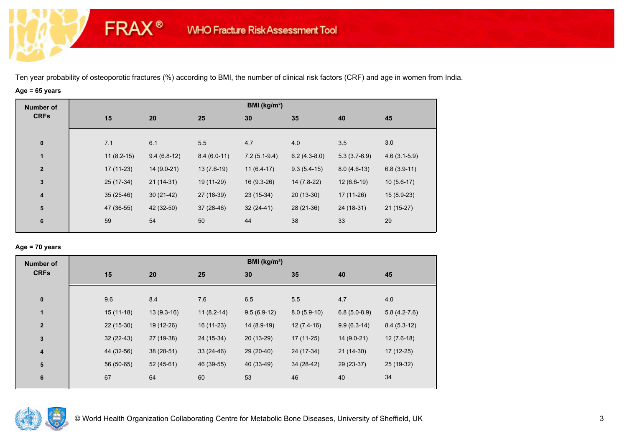# **Age = 65 years**

**FRAX®** 

| <b>Number of</b> |              |               |               | BMI ( $kg/m2$ ) |                |                |                |
|------------------|--------------|---------------|---------------|-----------------|----------------|----------------|----------------|
| <b>CRFs</b>      | 15           | 20            | 25            | 30              | 35             | 40             | 45             |
| $\bf{0}$         | 7.1          | 6.1           | 5.5           | 4.7             | 4.0            | 3.5            | 3.0            |
| $\mathbf{1}$     | $11(8.2-15)$ | $9.4(6.8-12)$ | $8.4(6.0-11)$ | $7.2(5.1-9.4)$  | $6.2(4.3-8.0)$ | $5.3(3.7-6.9)$ | $4.6(3.1-5.9)$ |
| $\overline{2}$   | $17(11-23)$  | 14 (9.0-21)   | $13(7.6-19)$  | $11(6.4-17)$    | $9.3(5.4-15)$  | $8.0(4.6-13)$  | $6.8(3.9-11)$  |
| $\mathbf{3}$     | 25 (17-34)   | $21(14-31)$   | 19 (11-29)    | $16(9.3-26)$    | 14 (7.8-22)    | $12(6.6-19)$   | $10(5.6-17)$   |
| 4                | $35(25-46)$  | $30(21-42)$   | 27 (18-39)    | 23 (15-34)      | $20(13-30)$    | 17 (11-26)     | $15(8.9-23)$   |
| ${\bf 5}$        | 47 (36-55)   | 42 (32-50)    | $37(28-46)$   | $32(24-41)$     | 28 (21-36)     | 24 (18-31)     | $21(15-27)$    |
| 6                | 59           | 54            | 50            | 44              | 38             | 33             | 29             |
|                  |              |               |               |                 |                |                |                |

## **Age = 70 years**

| <b>Number of</b>        |             |              |              | BMI (kg/m <sup>2</sup> ) |               |                |                |
|-------------------------|-------------|--------------|--------------|--------------------------|---------------|----------------|----------------|
| <b>CRFs</b>             | 15          | 20           | 25           | 30                       | 35            | 40             | 45             |
| $\pmb{0}$               | 9.6         | 8.4          | 7.6          | 6.5                      | 5.5           | 4.7            | 4.0            |
| $\mathbf{1}$            | $15(11-18)$ | $13(9.3-16)$ | $11(8.2-14)$ | $9.5(6.9-12)$            | $8.0(5.9-10)$ | $6.8(5.0-8.9)$ | $5.8(4.2-7.6)$ |
| $\mathbf{2}$            | $22(15-30)$ | 19 (12-26)   | 16 (11-23)   | $14(8.9-19)$             | $12(7.4-16)$  | $9.9(6.3-14)$  | $8.4(5.3-12)$  |
| $\mathbf 3$             | $32(22-43)$ | 27 (19-38)   | $24(15-34)$  | 20 (13-29)               | $17(11-25)$   | 14 (9.0-21)    | $12(7.6-18)$   |
| $\overline{\mathbf{4}}$ | 44 (32-56)  | $38(28-51)$  | $33(24-46)$  | 29 (20-40)               | 24 (17-34)    | $21(14-30)$    | 17 (12-25)     |
| 5                       | 56 (50-65)  | $52(45-61)$  | 46 (39-55)   | 40 (33-49)               | 34 (28-42)    | 29 (23-37)     | 25 (19-32)     |
| 6                       | 67          | 64           | 60           | 53                       | 46            | 40             | 34             |

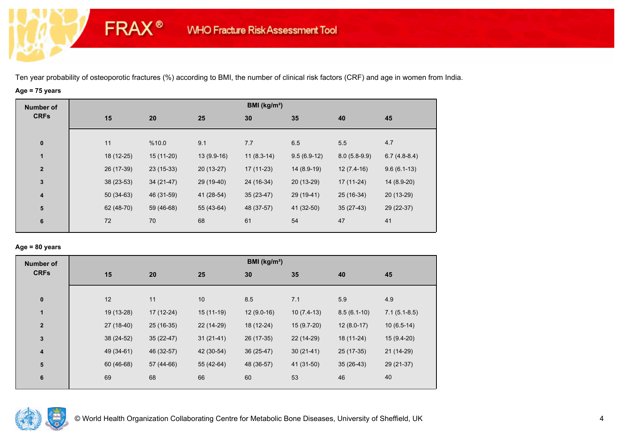# **Age = 75 years**

**FRAX®** 

| <b>Number of</b>        |             |             |              | BMI (kg/m <sup>2</sup> ) |               |                |                |
|-------------------------|-------------|-------------|--------------|--------------------------|---------------|----------------|----------------|
| <b>CRFs</b>             | 15          | 20          | 25           | 30                       | 35            | 40             | 45             |
|                         |             |             |              |                          |               |                |                |
| $\bf{0}$                | 11          | %10.0       | 9.1          | 7.7                      | 6.5           | 5.5            | 4.7            |
| $\mathbf{1}$            | 18 (12-25)  | $15(11-20)$ | $13(9.9-16)$ | $11(8.3-14)$             | $9.5(6.9-12)$ | $8.0(5.8-9.9)$ | $6.7(4.8-8.4)$ |
| $\overline{\mathbf{2}}$ | 26 (17-39)  | $23(15-33)$ | $20(13-27)$  | $17(11-23)$              | 14 (8.9-19)   | $12(7.4-16)$   | $9.6(6.1-13)$  |
| $\mathbf{3}$            | $38(23-53)$ | $34(21-47)$ | 29 (19-40)   | 24 (16-34)               | $20(13-29)$   | $17(11-24)$    | 14 (8.9-20)    |
| $\overline{\mathbf{4}}$ | $50(34-63)$ | 46 (31-59)  | 41 (28-54)   | $35(23-47)$              | 29 (19-41)    | 25 (16-34)     | 20 (13-29)     |
| ${\bf 5}$               | 62 (48-70)  | 59 (46-68)  | 55 (43-64)   | 48 (37-57)               | 41 (32-50)    | $35(27-43)$    | 29 (22-37)     |
| 6                       | 72          | 70          | 68           | 61                       | 54            | 47             | 41             |
|                         |             |             |              |                          |               |                |                |

## **Age = 80 years**

| <b>Number of</b> |    |                           |             | BMI ( $kg/m2$ ) |              |               |                |
|------------------|----|---------------------------|-------------|-----------------|--------------|---------------|----------------|
| <b>CRFs</b>      | 15 | 20                        | 25          | 30              | 35           | 40            | 45             |
| $\pmb{0}$        | 12 | 11                        | 10          | 8.5             | 7.1          | 5.9           | 4.9            |
| $\mathbf{1}$     |    | 19 (13-28)<br>17 (12-24)  | $15(11-19)$ | $12(9.0-16)$    | $10(7.4-13)$ | $8.5(6.1-10)$ | $7.1(5.1-8.5)$ |
| $\overline{2}$   |    | 27 (18-40)<br>25 (16-35)  | 22 (14-29)  | 18 (12-24)      | $15(9.7-20)$ | $12(8.0-17)$  | $10(6.5-14)$   |
| 3                |    | 38 (24-52)<br>$35(22-47)$ | $31(21-41)$ | 26 (17-35)      | 22 (14-29)   | 18 (11-24)    | $15(9.4-20)$   |
| 4                |    | 49 (34-61)<br>46 (32-57)  | 42 (30-54)  | $36(25-47)$     | $30(21-41)$  | 25 (17-35)    | 21 (14-29)     |
| $5\phantom{.0}$  |    | 60 (46-68)<br>57 (44-66)  | 55 (42-64)  | 48 (36-57)      | 41 (31-50)   | $35(26-43)$   | 29 (21-37)     |
| 6                | 69 | 68                        | 66          | 60              | 53           | 46            | 40             |